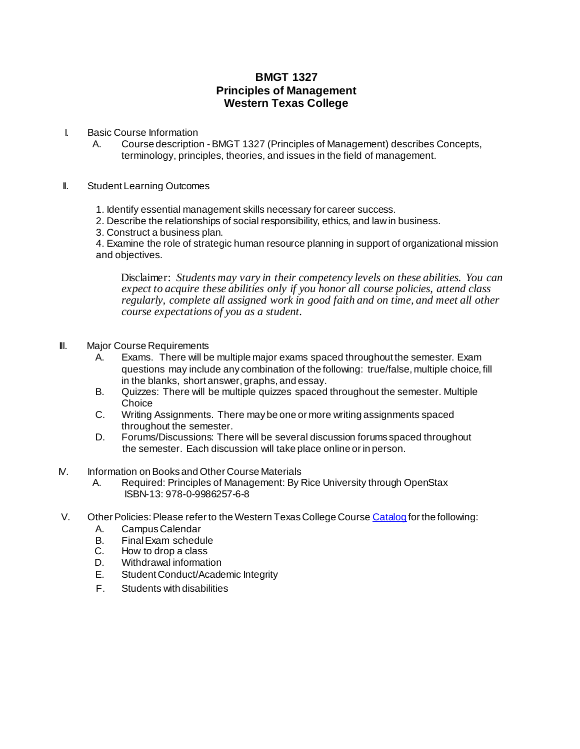## **BMGT 1327 Principles of Management Western Texas College**

- I. Basic Course Information
	- A. Course description BMGT 1327 (Principles of Management) describes Concepts, terminology, principles, theories, and issues in the field of management.
- II. Student Learning Outcomes
	- 1. Identify essential management skills necessary for career success.
	- 2. Describe the relationships of social responsibility, ethics, and lawin business.
	- 3. Construct a business plan.

4. Examine the role of strategic human resource planning in support of organizational mission and objectives.

Disclaimer: *Students may vary in their competency levels on these abilities. You can expect to acquire these abilities only if you honor all course policies, attend class regularly, complete all assigned work in good faith and on time, and meet all other course expectations of you as a student.*

- **III.** Major Course Requirements
	- A. Exams. There will be multiple major exams spaced throughout the semester. Exam questions may include any combination of the following: true/false, multiple choice, fill in the blanks, short answer, graphs, and essay.
	- B. Quizzes: There will be multiple quizzes spaced throughout the semester. Multiple **Choice**
	- C. Writing Assignments. There may be one or more writing assignments spaced throughout the semester.
	- D. Forums/Discussions: There will be several discussion forums spaced throughout the semester. Each discussion will take place online orin person.
- IV. Information onBooks and Other Course Materials
	- A. Required: Principles of Management: By Rice University through OpenStax ISBN-13: 978-0-9986257-6-8
- V. Other Policies: Please refer to the Western Texas College Cours[e Catalog](http://www.wtc.edu/uploads/publications.html) for the following:
	- A. CampusCalendar
	- B. FinalExam schedule
	- C. How to drop a class
	- D. Withdrawal information
	- E. Student Conduct/Academic Integrity
	- F. Students with disabilities